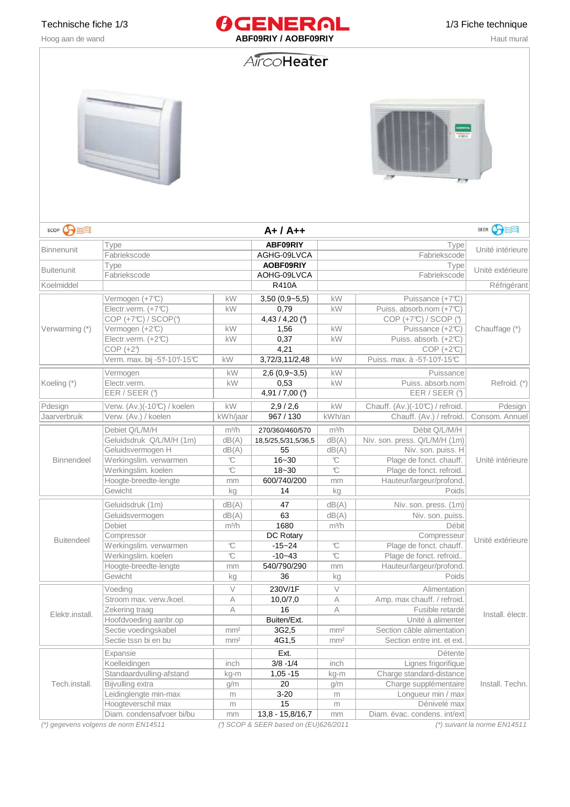$rac{1}{\sqrt{2}}$ 



## AircoHeater



| scop <b>Cases</b> |                             |                 |                     |                   |                                 | SEER <b>CO</b>   |  |
|-------------------|-----------------------------|-----------------|---------------------|-------------------|---------------------------------|------------------|--|
|                   |                             |                 | $A+ / A++$          |                   |                                 |                  |  |
| <b>Binnenunit</b> | Type                        |                 | ABF09RIY            |                   | Type                            | Unité intérieure |  |
|                   | Fabriekscode                |                 | AGHG-09LVCA         |                   | Fabriekscode                    |                  |  |
| <b>Buitenunit</b> | Type                        |                 | AOBF09RIY           |                   | Type                            | Unité extérieure |  |
|                   | Fabriekscode                |                 | AOHG-09LVCA         |                   | Fabriekscode                    |                  |  |
| Koelmiddel        |                             |                 | <b>R410A</b>        |                   |                                 | Réfrigérant      |  |
|                   | Vermogen (+7°C)             | kW              | $3,50(0,9-5,5)$     | kW                | Puissance (+7°C)                |                  |  |
|                   | Electr.verm. (+7°C)         | kW              | 0,79                | kW                | Puiss. absorb.nom (+7°C)        |                  |  |
|                   | $COP (+7C) / SCOP(9)$       |                 | 4,43/4,20(9)        |                   | COP (+7°C) / SCOP (9)           |                  |  |
| Verwarming (*)    | Vermogen (+2°C)             | kW              | 1,56                | kW                | Puissance (+2°C)                | Chauffage (*)    |  |
|                   | Electr.verm. (+2°C)         | kW              | 0,37                | kW                | Puiss. absorb. (+2°C)           |                  |  |
|                   | $COP (+2)$                  |                 | 4.21                |                   | $COP (+2C)$                     |                  |  |
|                   | Verm. max. bij -5%-10%-15°C | kW              | 3,72/3,11/2,48      | kW                | Puiss. max. à -5%-10%-15℃       |                  |  |
|                   | Vermogen                    | kW              | $2,6(0,9-3,5)$      | kW                | Puissance                       |                  |  |
| Koeling (*)       | Electr.verm.                | kW              | 0,53                | kW                | Puiss. absorb.nom               | Refroid. (*)     |  |
|                   | EER / SEER (9               |                 | 4,91 / 7,00 (9      |                   | EER / SEER (9                   |                  |  |
| Pdesign           | Verw. (Av.)(-10°C) / koelen | kW              | 2,9/2,6             | kW                | Chauff. (Av.)(-10°C) / refroid. | Pdesign          |  |
| Jaarverbruik      | Verw. (Av.) / koelen        | kWh/jaar        | 967 / 130           | kWh/an            | Chauff. (Av.) / refroid.        | Consom. Annuel   |  |
|                   | Debiet Q/L/M/H              | $m^3/h$         | 270/360/460/570     | m <sup>3</sup> /h | Débit Q/L/M/H                   |                  |  |
|                   | Geluidsdruk Q/L/M/H (1m)    | dB(A)           | 18,5/25,5/31,5/36,5 | dB(A)             | Niv. son. press. Q/L/M/H (1m)   |                  |  |
|                   | Geluidsvermogen H           | dB(A)           | 55                  | dB(A)             | Niv. son. puiss. H              |                  |  |
| <b>Binnendeel</b> | Werkingslim. verwarmen      | C               | $16 - 30$           | C                 | Plage de fonct. chauff.         | Unité intérieure |  |
|                   | Werkingslim. koelen         | C               | $18 - 30$           | C                 | Plage de fonct. refroid.        |                  |  |
|                   | Hoogte-breedte-lengte       | mm              | 600/740/200         | mm                | Hauteur/largeur/profond.        |                  |  |
|                   | Gewicht                     | kg              | 14                  | kg                | Poids                           |                  |  |
|                   | Geluidsdruk (1m)            | dB(A)           | 47                  | dB(A)             | Niv. son. press. (1m)           |                  |  |
|                   | Geluidsvermogen             | dB(A)           | 63                  | dB(A)             | Niv. son. puiss.                |                  |  |
|                   | <b>Debiet</b>               | $m^3/h$         | 1680                | $m^3/h$           | Débit                           |                  |  |
| <b>Buitendeel</b> | Compressor                  |                 | DC Rotary           |                   | Compresseur                     | Unité extérieure |  |
|                   | Werkingslim. verwarmen      | $\mathcal{C}$   | $-15 - 24$          | C                 | Plage de fonct. chauff.         |                  |  |
|                   | Werkingslim. koelen         | $\mathcal{C}$   | $-10-43$            | $\mathbb{C}$      | Plage de fonct. refroid         |                  |  |
|                   | Hoogte-breedte-lengte       | mm              | 540/790/290         | mm                | Hauteur/largeur/profond.        |                  |  |
|                   | Gewicht                     | kg              | 36                  | kg                | Poids                           |                  |  |
|                   | Voeding                     | $\vee$          | 230V/1F             | V                 | Alimentation                    |                  |  |
|                   | Stroom max. verw./koel.     | A               | 10,0/7,0            | Α                 | Amp. max chauff. / refroid.     |                  |  |
|                   | Zekering traag              | A               | 16                  | Α                 | Fusible retardé                 |                  |  |
| Elektr.install.   | Hoofdvoeding aanbr.op       |                 | Buiten/Ext.         |                   | Unité à alimenter               | Install, électr. |  |
|                   | Sectie voedingskabel        | mm <sup>2</sup> | 3G2,5               | mm <sup>2</sup>   | Section câble alimentation      |                  |  |
|                   | Sectie tssn bi en bu        | mm <sup>2</sup> | 4G1,5               | mm <sup>2</sup>   | Section entre int. et ext.      |                  |  |
|                   | Expansie                    |                 | Ext.                |                   | Détente                         |                  |  |
|                   | Koelleidingen               | inch            | $3/8 - 1/4$         | inch              | Lignes frigorifique             |                  |  |
|                   | Standaardvulling-afstand    | kg-m            | $1,05 - 15$         | kg-m              | Charge standard-distance        |                  |  |
| Tech.install.     | Bijvulling extra            | g/m             | 20                  | g/m               | Charge supplémentaire           | Install, Techn.  |  |
|                   | Leidinglengte min-max       | m               | $3 - 20$            | m                 | Longueur min / max              |                  |  |
|                   | Hoogteverschil max          | m               | 15                  | m                 | Dénivelé max                    |                  |  |
|                   | Diam. condensafvoer bi/bu   | mm              | 13,8 - 15,8/16,7    | mm                | Diam. évac. condens. int/ext    |                  |  |

(\*) gegevens volgens de norm EN14511 (°) SCOP & SEER based on (EU)626/2011 (\*) suivant la norme EN14511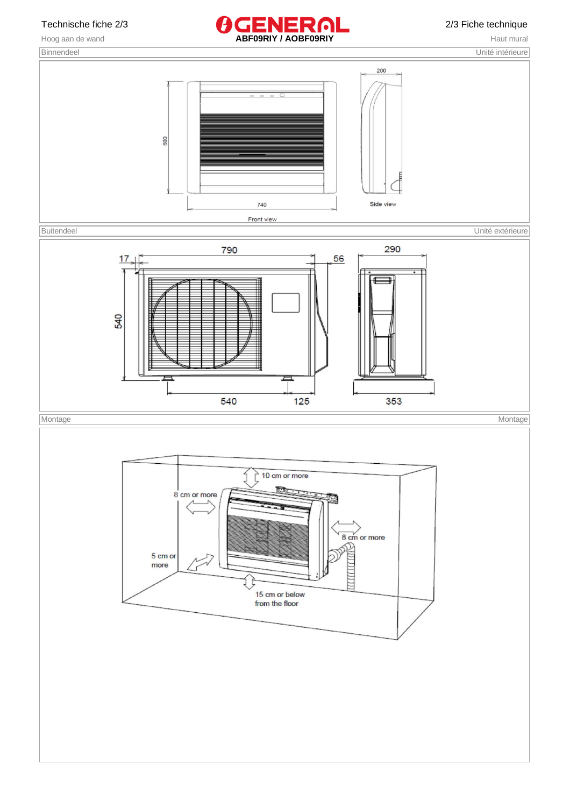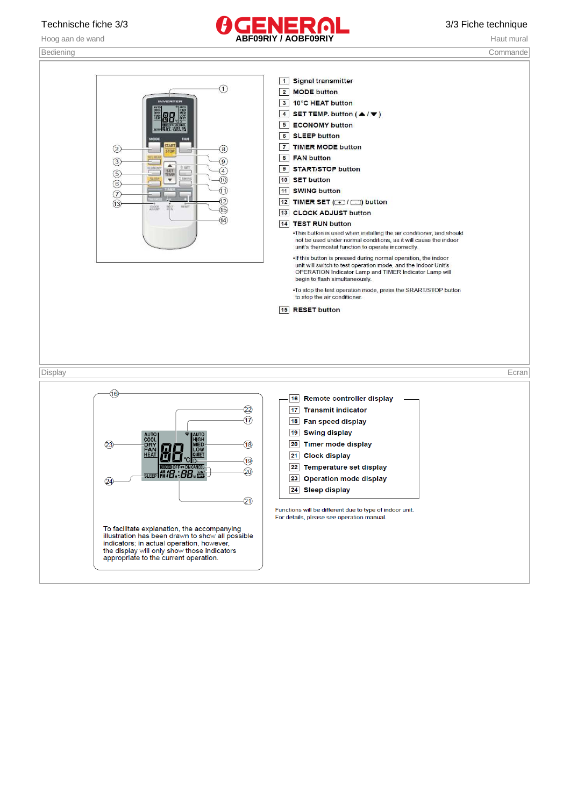

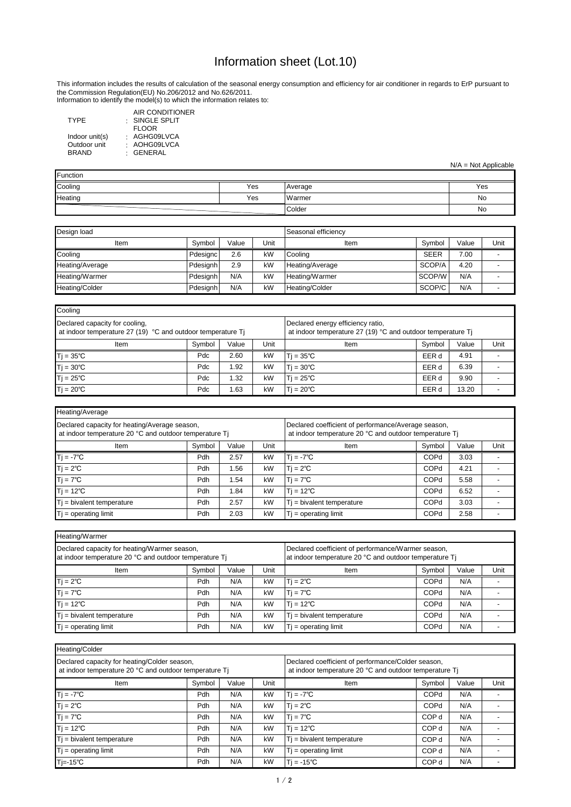: GENERAL **CONDITIONER IGLE SPLIT** DOR. HG09LVCA HG09LVCA

Information to identify the model(s) to which the information relates to:

|                | AIR |
|----------------|-----|
| TYPE           | SIN |
|                | FLC |
| Indoor unit(s) | AGI |
| Outdoor unit   | AOI |
| BRAND          | GEI |

| Heating/Average                                                                                         |        |       |      |                                                                                                               |             |       |      |  |  |  |  |  |
|---------------------------------------------------------------------------------------------------------|--------|-------|------|---------------------------------------------------------------------------------------------------------------|-------------|-------|------|--|--|--|--|--|
| Declared capacity for heating/Average season,<br>at indoor temperature 20 °C and outdoor temperature Tj |        |       |      | Declared coefficient of performance/Average season,<br>at indoor temperature 20 °C and outdoor temperature Tj |             |       |      |  |  |  |  |  |
| Item                                                                                                    | Symbol | Value | Unit | Item                                                                                                          | Symbol      | Value | Unit |  |  |  |  |  |
| $Tj = -7^{\circ}C$                                                                                      | Pdh    | 2.57  | kW   | $Tj = -7^{\circ}C$                                                                                            | <b>COPd</b> | 3.03  |      |  |  |  |  |  |
| $Tj = 2^{\circ}C$                                                                                       | Pdh    | .56   | kW   | $Ti = 2^{\circ}C$                                                                                             | <b>COPd</b> | 4.21  |      |  |  |  |  |  |
| $Tj = 7^{\circ}C$                                                                                       | Pdh    | .54   | kW   | $Tj = 7^{\circ}C$                                                                                             | <b>COPd</b> | 5.58  |      |  |  |  |  |  |
| $\mathsf{T}$ j = 12°C                                                                                   | Pdh    | 1.84  | kW   | $T$ i = 12°C                                                                                                  | <b>COPd</b> | 6.52  |      |  |  |  |  |  |
| $T$ j = bivalent temperature                                                                            | Pdh    | 2.57  | kW   | $T_i$ = bivalent temperature                                                                                  | <b>COPd</b> | 3.03  |      |  |  |  |  |  |
| $Tj = operating limit$                                                                                  | Pdh    | 2.03  | kW   | $T_i$ = operating limit                                                                                       | <b>COPd</b> | 2.58  |      |  |  |  |  |  |

| Heating/Warmer                                                                                         |        |       |      |                                                                                                              |             |       |      |  |  |  |  |  |  |
|--------------------------------------------------------------------------------------------------------|--------|-------|------|--------------------------------------------------------------------------------------------------------------|-------------|-------|------|--|--|--|--|--|--|
| Declared capacity for heating/Warmer season,<br>at indoor temperature 20 °C and outdoor temperature Tj |        |       |      | Declared coefficient of performance/Warmer season,<br>at indoor temperature 20 °C and outdoor temperature Tj |             |       |      |  |  |  |  |  |  |
| Item                                                                                                   | Symbol | Value | Unit | Item                                                                                                         | Symbol      | Value | Unit |  |  |  |  |  |  |
| $Tj = 2^{\circ}C$                                                                                      | Pdh    | N/A   | kW   | $T = 2^{\circ}C$                                                                                             | <b>COPd</b> | N/A   |      |  |  |  |  |  |  |
| $Tj = 7^{\circ}C$                                                                                      | Pdh    | N/A   | kW   | $Ti = 7^{\circ}C$                                                                                            | <b>COPd</b> | N/A   |      |  |  |  |  |  |  |
| $Tj = 12^{\circ}C$                                                                                     | Pdh    | N/A   | kW   | $T = 12^{\circ}C$                                                                                            | <b>COPd</b> | N/A   |      |  |  |  |  |  |  |
| $Tj$ = bivalent temperature                                                                            | Pdh    | N/A   | kW   | $T_i$ = bivalent temperature                                                                                 | <b>COPd</b> | N/A   |      |  |  |  |  |  |  |
| $Tj = operating limit$                                                                                 | Pdh    | N/A   | kW   | $Tj = operating limit$                                                                                       | <b>COPd</b> | N/A   |      |  |  |  |  |  |  |

| Design load     |          |       |      | Seasonal efficiency |             |       |      |  |
|-----------------|----------|-------|------|---------------------|-------------|-------|------|--|
| Item            | Symbol   | Value | Unit | Item                | Symbol      | Value | Unit |  |
| Cooling         | Pdesignc | 2.6   | kW   | ,Cooling            | <b>SEER</b> | 7.00  |      |  |
| Heating/Average | Pdesignh | 2.9   | kW   | Heating/Average     | SCOP/A      | 4.20  |      |  |
| Heating/Warmer  | Pdesignh | N/A   | kW   | Heating/Warmer      | SCOP/W      | N/A   |      |  |
| Heating/Colder  | Pdesignh | N/A   | kW   | Heating/Colder      | SCOP/C      | N/A   |      |  |

| Heating/Colder                                                                                         |                                                                                                              |       |      |                              |                  |      |  |  |  |  |  |  |
|--------------------------------------------------------------------------------------------------------|--------------------------------------------------------------------------------------------------------------|-------|------|------------------------------|------------------|------|--|--|--|--|--|--|
| Declared capacity for heating/Colder season,<br>at indoor temperature 20 °C and outdoor temperature Tj | Declared coefficient of performance/Colder season,<br>at indoor temperature 20 °C and outdoor temperature Tj |       |      |                              |                  |      |  |  |  |  |  |  |
| Item                                                                                                   | Symbol                                                                                                       | Value | Unit | Item                         | Value            | Unit |  |  |  |  |  |  |
| $Ti = -7^{\circ}C$                                                                                     | Pdh                                                                                                          | N/A   | kW   | $Tj = -7^{\circ}C$           | COPd             | N/A  |  |  |  |  |  |  |
| $Tj = 2^{\circ}C$                                                                                      | Pdh                                                                                                          | N/A   | kW   | $T = 2^{\circ}C$             | <b>COPd</b>      | N/A  |  |  |  |  |  |  |
| $Tj = 7^{\circ}C$                                                                                      | Pdh                                                                                                          | N/A   | kW   | $Tj = 7^{\circ}C$            | COP d            | N/A  |  |  |  |  |  |  |
| $Tj = 12^{\circ}C$                                                                                     | Pdh                                                                                                          | N/A   | kW   | $T$ j = 12°C                 | COP <sub>d</sub> | N/A  |  |  |  |  |  |  |
| $Ti = bivalent temperature$                                                                            | Pdh                                                                                                          | N/A   | kW   | $T_i$ = bivalent temperature | COP d            | N/A  |  |  |  |  |  |  |
| $Tj = operating limit$                                                                                 | Pdh                                                                                                          | N/A   | kW   | $T$ = operating limit        | COP d            | N/A  |  |  |  |  |  |  |
| 'Tj=-15℃                                                                                               | Pdh                                                                                                          | N/A   | kW   | $T = -15^{\circ}C$           | COP d            | N/A  |  |  |  |  |  |  |

| Cooling                                                                                       |                 |       |      |                                                                                                  |        |       |      |  |  |  |  |
|-----------------------------------------------------------------------------------------------|-----------------|-------|------|--------------------------------------------------------------------------------------------------|--------|-------|------|--|--|--|--|
| Declared capacity for cooling,<br>at indoor temperature 27 (19) °C and outdoor temperature Tj |                 |       |      | Declared energy efficiency ratio,<br>at indoor temperature 27 (19) °C and outdoor temperature Tj |        |       |      |  |  |  |  |
| Item                                                                                          | Symbol          | Value | Unit | Item                                                                                             | Symbol | Value | Unit |  |  |  |  |
| $Tj = 35^{\circ}C$                                                                            | Pd <sub>c</sub> | 2.60  | kW   | $T = 35^{\circ}C$                                                                                | EER d  | 4.91  |      |  |  |  |  |
| $Tj = 30^{\circ}C$                                                                            | Pdc             | 1.92  | kW   | $T = 30^{\circ}C$                                                                                | EER d  | 6.39  |      |  |  |  |  |
| $Tj = 25^{\circ}C$                                                                            | Pdc             | 1.32  | kW   | $T = 25^{\circ}C$                                                                                | EER d  | 9.90  |      |  |  |  |  |
| $Tj = 20^{\circ}C$                                                                            | Pdc             | 1.63  | kW   | $T = 20^{\circ}C$                                                                                | EER d  | 13.20 |      |  |  |  |  |

| Function |     |         |     |
|----------|-----|---------|-----|
| Cooling  | Yes | Average | Yes |
| Heating  | Yes | Warmer  | No  |
|          |     | Colder  | No  |

# Information sheet (Lot.10)

N/A = Not Applicable

This information includes the results of calculation of the seasonal energy consumption and efficiency for air conditioner in regards to ErP pursuant to the Commission Regulation(EU) No.206/2012 and No.626/2011.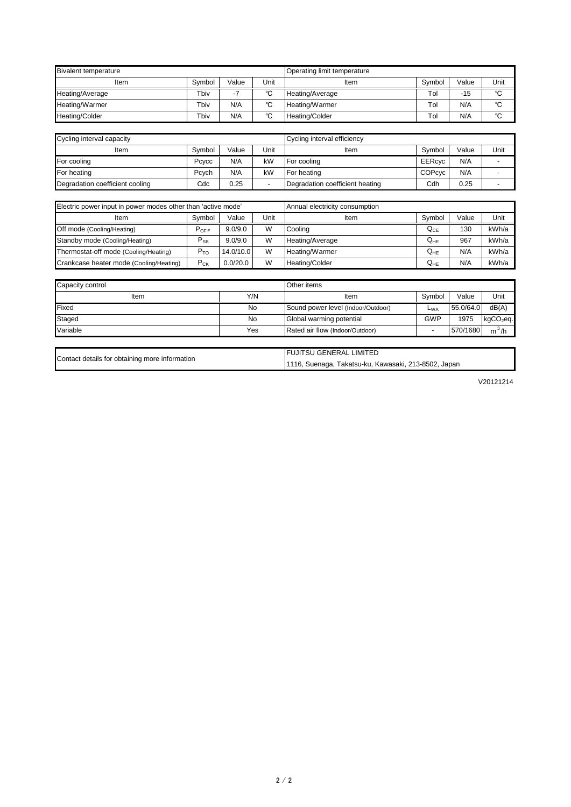| <b>Bivalent temperature</b> |        |       |             | Operating limit temperature |        |       |             |  |
|-----------------------------|--------|-------|-------------|-----------------------------|--------|-------|-------------|--|
| Item                        | Svmbol | Value | Unit        | Item                        | Symbol | Value | Unit        |  |
| Heating/Average             | Tbiv   | ٠.    | $\sim$<br>◡ | Heating/Average             | Tol    | $-15$ | $^{\circ}C$ |  |
| Heating/Warmer              | Tbiv   | N/A   | $\sim$      | Heating/Warmer              | Tol    | N/A   | $\sim$      |  |
| <b>Heating/Colder</b>       | Tbiv   | N/A   | $\sim$<br>ັ | Heating/Colder              | Tol    | N/A   | $\sim$      |  |

V20121214

| Cycling interval capacity       |        |       |      | Cycling interval efficiency     |               |       |      |  |
|---------------------------------|--------|-------|------|---------------------------------|---------------|-------|------|--|
| Item                            | Svmbol | Value | Unit | Item                            | Symbol        | Value | Unit |  |
| For cooling                     | Pcvcc  | N/A   | kW   | <b>For cooling</b>              | EERcyc        | N/A   |      |  |
| For heating                     | Pcych  | N/A   | kW   | IFor heating                    | <b>COPcyc</b> | N/A   |      |  |
| Degradation coefficient cooling | Cdc    | 0.25  |      | Degradation coefficient heating | Cdh           | 0.25  |      |  |

| Electric power input in power modes other than 'active mode' |                            |           |      | Annual electricity consumption |                            |       |       |  |
|--------------------------------------------------------------|----------------------------|-----------|------|--------------------------------|----------------------------|-------|-------|--|
| Item                                                         | Symbol                     | Value     | Unit | Item                           | Symbol                     | Value | Unit  |  |
| Off mode (Cooling/Heating)                                   | $P_{OFF}$                  | 9.0/9.0   | W    | Cooling                        | ${\sf Q}_{\sf CE}$         | 130   | kWh/a |  |
| Standby mode (Cooling/Heating)                               | $\mathsf{P}_{\mathsf{SB}}$ | 9.0/9.0   | W    | Heating/Average                | $\mathsf{Q}_{\mathsf{HE}}$ | 967   | kWh/a |  |
| Thermostat-off mode (Cooling/Heating)                        | $P_{TO}$                   | 14.0/10.0 | W    | Heating/Warmer                 | $\mathsf{Q}_{\mathsf{HE}}$ | N/A   | kWh/a |  |
| Crankcase heater mode (Cooling/Heating)                      | $P_{CK}$                   | 0.0/20.0  | W    | Heating/Colder                 | $Q_{HE}$                   | N/A   | kWh/a |  |

| Capacity control | <b>I</b> Other items |                                    |            |           |             |  |
|------------------|----------------------|------------------------------------|------------|-----------|-------------|--|
| ltem             | Y/N                  | Item                               | Symbol     | Value     | Unit        |  |
| Fixed            | No                   | Sound power level (Indoor/Outdoor) | $L_{WA}$   | 55.0/64.0 | dB(A)       |  |
| Staged           | No                   | Global warming potential           | <b>GWP</b> | 1975      | $kgCO2$ eq. |  |
| Variable         | Yes                  | Rated air flow (Indoor/Outdoor)    |            | 570/1680  | $m^3/h$     |  |

| Contact details for obtaining more information | <b>FUJITSU GENERAL LIMITED</b>                       |
|------------------------------------------------|------------------------------------------------------|
|                                                | 1116, Suenaga, Takatsu-ku, Kawasaki, 213-8502, Japan |